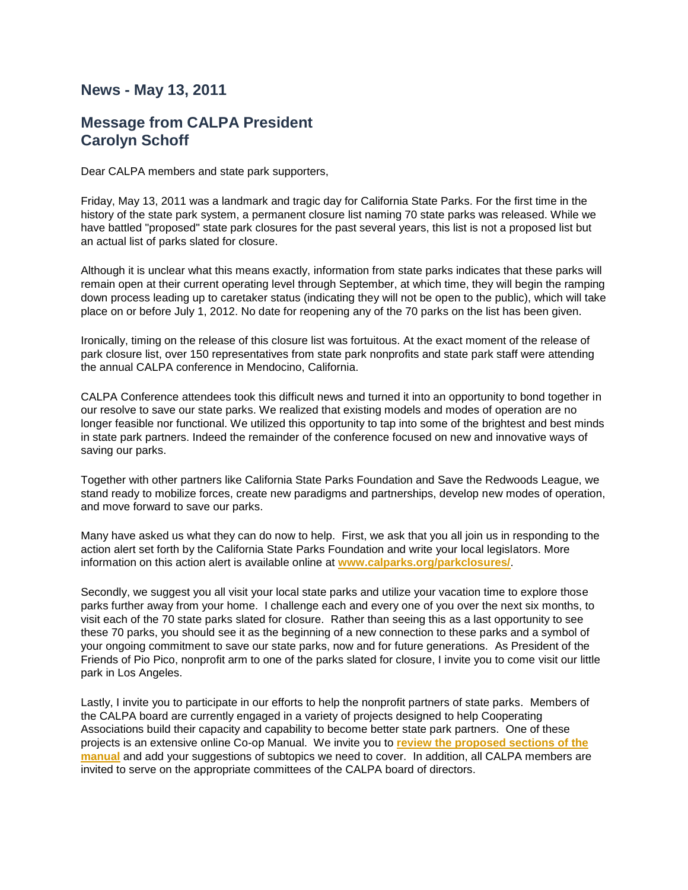## **News - May 13, 2011**

## **Message from CALPA President Carolyn Schoff**

Dear CALPA members and state park supporters,

Friday, May 13, 2011 was a landmark and tragic day for California State Parks. For the first time in the history of the state park system, a permanent closure list naming 70 state parks was released. While we have battled "proposed" state park closures for the past several years, this list is not a proposed list but an actual list of parks slated for closure.

Although it is unclear what this means exactly, information from state parks indicates that these parks will remain open at their current operating level through September, at which time, they will begin the ramping down process leading up to caretaker status (indicating they will not be open to the public), which will take place on or before July 1, 2012. No date for reopening any of the 70 parks on the list has been given.

Ironically, timing on the release of this closure list was fortuitous. At the exact moment of the release of park closure list, over 150 representatives from state park nonprofits and state park staff were attending the annual CALPA conference in Mendocino, California.

CALPA Conference attendees took this difficult news and turned it into an opportunity to bond together in our resolve to save our state parks. We realized that existing models and modes of operation are no longer feasible nor functional. We utilized this opportunity to tap into some of the brightest and best minds in state park partners. Indeed the remainder of the conference focused on new and innovative ways of saving our parks.

Together with other partners like California State Parks Foundation and Save the Redwoods League, we stand ready to mobilize forces, create new paradigms and partnerships, develop new modes of operation, and move forward to save our parks.

Many have asked us what they can do now to help. First, we ask that you all join us in responding to the action alert set forth by the California State Parks Foundation and write your local legislators. More information on this action alert is available online at **[www.calparks.org/parkclosures/](http://www.calparks.org/parkclosures/)**.

Secondly, we suggest you all visit your local state parks and utilize your vacation time to explore those parks further away from your home. I challenge each and every one of you over the next six months, to visit each of the 70 state parks slated for closure. Rather than seeing this as a last opportunity to see these 70 parks, you should see it as the beginning of a new connection to these parks and a symbol of your ongoing commitment to save our state parks, now and for future generations. As President of the Friends of Pio Pico, nonprofit arm to one of the parks slated for closure, I invite you to come visit our little park in Los Angeles.

Lastly, I invite you to participate in our efforts to help the nonprofit partners of state parks. Members of the CALPA board are currently engaged in a variety of projects designed to help Cooperating Associations build their capacity and capability to become better state park partners. One of these projects is an extensive online Co-op Manual. We invite you to **[review the proposed sections of the](http://www.calparksleague.org/co-op_manual.html)  [manual](http://www.calparksleague.org/co-op_manual.html)** and add your suggestions of subtopics we need to cover. In addition, all CALPA members are invited to serve on the appropriate committees of the CALPA board of directors.